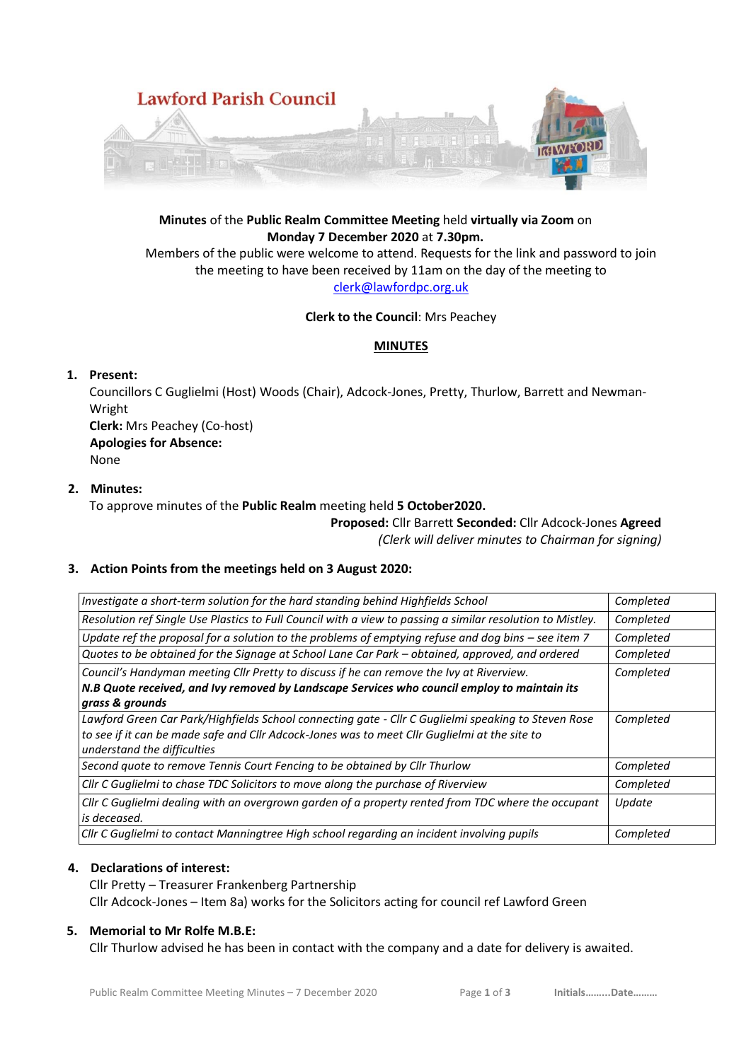

# **Minutes** of the **Public Realm Committee Meeting** held **virtually via Zoom** on **Monday 7 December 2020** at **7.30pm.**

Members of the public were welcome to attend. Requests for the link and password to join the meeting to have been received by 11am on the day of the meeting to [clerk@lawfordpc.org.uk](mailto:clerk@lawfordpc.org.uk)

#### **Clerk to the Council**: Mrs Peachey

# **MINUTES**

# **1. Present:**

Councillors C Guglielmi (Host) Woods (Chair), Adcock-Jones, Pretty, Thurlow, Barrett and Newman-Wright **Clerk:** Mrs Peachey (Co-host) **Apologies for Absence:**  None

# **2. Minutes:**

To approve minutes of the **Public Realm** meeting held **5 October2020.**

#### **Proposed:** Cllr Barrett **Seconded:** Cllr Adcock-Jones **Agreed** *(Clerk will deliver minutes to Chairman for signing)*

# **3. Action Points from the meetings held on 3 August 2020:**

| Investigate a short-term solution for the hard standing behind Highfields School                                                                                                                                                    | Completed |
|-------------------------------------------------------------------------------------------------------------------------------------------------------------------------------------------------------------------------------------|-----------|
| Resolution ref Single Use Plastics to Full Council with a view to passing a similar resolution to Mistley.                                                                                                                          | Completed |
| Update ref the proposal for a solution to the problems of emptying refuse and dog bins $-$ see item 7                                                                                                                               | Completed |
| Quotes to be obtained for the Signage at School Lane Car Park - obtained, approved, and ordered                                                                                                                                     | Completed |
| Council's Handyman meeting Cllr Pretty to discuss if he can remove the Ivy at Riverview.<br>N.B Quote received, and Ivy removed by Landscape Services who council employ to maintain its<br>grass & grounds                         | Completed |
| Lawford Green Car Park/Highfields School connecting gate - Cllr C Guglielmi speaking to Steven Rose<br>to see if it can be made safe and ClIr Adcock-Jones was to meet ClIr Guglielmi at the site to<br>understand the difficulties | Completed |
| Second quote to remove Tennis Court Fencing to be obtained by Cllr Thurlow                                                                                                                                                          | Completed |
| Cllr C Guglielmi to chase TDC Solicitors to move along the purchase of Riverview                                                                                                                                                    | Completed |
| Cllr C Guglielmi dealing with an overgrown garden of a property rented from TDC where the occupant<br>is deceased.                                                                                                                  | Update    |
| Cllr C Guglielmi to contact Manningtree High school regarding an incident involving pupils                                                                                                                                          | Completed |

# **4. Declarations of interest:**

Cllr Pretty – Treasurer Frankenberg Partnership Cllr Adcock-Jones – Item 8a) works for the Solicitors acting for council ref Lawford Green

#### **5. Memorial to Mr Rolfe M.B.E:**

Cllr Thurlow advised he has been in contact with the company and a date for delivery is awaited.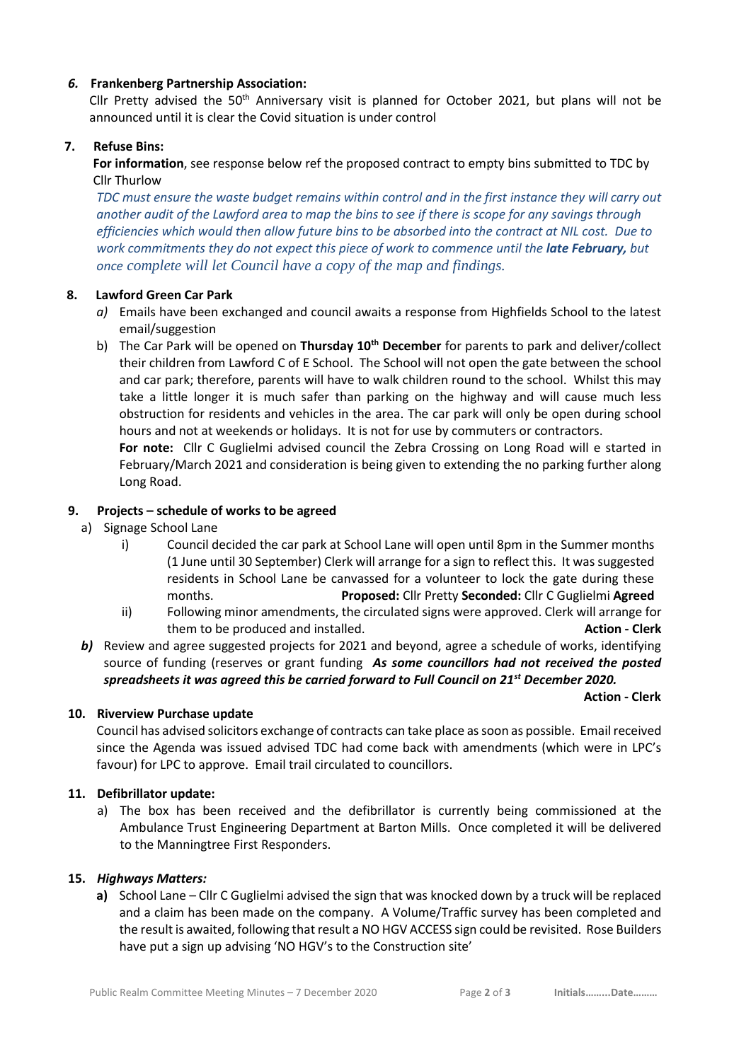# *6.* **Frankenberg Partnership Association:**

Cllr Pretty advised the  $50<sup>th</sup>$  Anniversary visit is planned for October 2021, but plans will not be announced until it is clear the Covid situation is under control

#### **7. Refuse Bins:**

**For information**, see response below ref the proposed contract to empty bins submitted to TDC by Cllr Thurlow

*TDC must ensure the waste budget remains within control and in the first instance they will carry out another audit of the Lawford area to map the bins to see if there is scope for any savings through efficiencies which would then allow future bins to be absorbed into the contract at NIL cost. Due to work commitments they do not expect this piece of work to commence until the late February, but once complete will let Council have a copy of the map and findings.*

#### **8. Lawford Green Car Park**

- *a)* Emails have been exchanged and council awaits a response from Highfields School to the latest email/suggestion
- b) The Car Park will be opened on **Thursday 10th December** for parents to park and deliver/collect their children from Lawford C of E School. The School will not open the gate between the school and car park; therefore, parents will have to walk children round to the school. Whilst this may take a little longer it is much safer than parking on the highway and will cause much less obstruction for residents and vehicles in the area. The car park will only be open during school hours and not at weekends or holidays. It is not for use by commuters or contractors.

**For note:** Cllr C Guglielmi advised council the Zebra Crossing on Long Road will e started in February/March 2021 and consideration is being given to extending the no parking further along Long Road.

#### **9. Projects – schedule of works to be agreed**

- a) Signage School Lane
	- i) Council decided the car park at School Lane will open until 8pm in the Summer months (1 June until 30 September) Clerk will arrange for a sign to reflect this. It was suggested residents in School Lane be canvassed for a volunteer to lock the gate during these months. **Proposed:** Cllr Pretty **Seconded:** Cllr C Guglielmi **Agreed**
	- ii) Following minor amendments, the circulated signs were approved. Clerk will arrange for them to be produced and installed. **Action - Clerk**
- **b)** Review and agree suggested projects for 2021 and beyond, agree a schedule of works, identifying source of funding (reserves or grant funding *As some councillors had not received the posted spreadsheets it was agreed this be carried forward to Full Council on 21st December 2020.*

 **Action - Clerk**

#### **10. Riverview Purchase update**

Council has advised solicitors exchange of contracts can take place as soon as possible. Email received since the Agenda was issued advised TDC had come back with amendments (which were in LPC's favour) for LPC to approve. Email trail circulated to councillors.

#### **11. Defibrillator update:**

a) The box has been received and the defibrillator is currently being commissioned at the Ambulance Trust Engineering Department at Barton Mills. Once completed it will be delivered to the Manningtree First Responders.

#### **15.** *Highways Matters:*

**a)** School Lane – Cllr C Guglielmi advised the sign that was knocked down by a truck will be replaced and a claim has been made on the company. A Volume/Traffic survey has been completed and the result is awaited, following that result a NO HGV ACCESS sign could be revisited. Rose Builders have put a sign up advising 'NO HGV's to the Construction site'